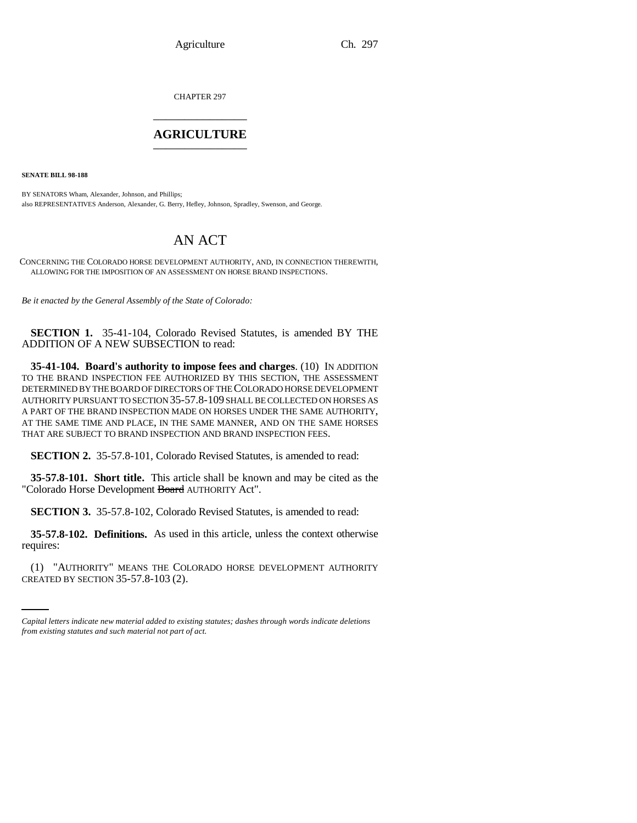Agriculture Ch. 297

CHAPTER 297 \_\_\_\_\_\_\_\_\_\_\_\_\_\_\_

## **AGRICULTURE** \_\_\_\_\_\_\_\_\_\_\_\_\_\_\_

**SENATE BILL 98-188**

BY SENATORS Wham, Alexander, Johnson, and Phillips; also REPRESENTATIVES Anderson, Alexander, G. Berry, Hefley, Johnson, Spradley, Swenson, and George.

## AN ACT

CONCERNING THE COLORADO HORSE DEVELOPMENT AUTHORITY, AND, IN CONNECTION THEREWITH, ALLOWING FOR THE IMPOSITION OF AN ASSESSMENT ON HORSE BRAND INSPECTIONS.

*Be it enacted by the General Assembly of the State of Colorado:*

**SECTION 1.** 35-41-104, Colorado Revised Statutes, is amended BY THE ADDITION OF A NEW SUBSECTION to read:

**35-41-104. Board's authority to impose fees and charges**. (10) IN ADDITION TO THE BRAND INSPECTION FEE AUTHORIZED BY THIS SECTION, THE ASSESSMENT DETERMINED BY THE BOARD OF DIRECTORS OF THE COLORADO HORSE DEVELOPMENT AUTHORITY PURSUANT TO SECTION 35-57.8-109 SHALL BE COLLECTED ON HORSES AS A PART OF THE BRAND INSPECTION MADE ON HORSES UNDER THE SAME AUTHORITY, AT THE SAME TIME AND PLACE, IN THE SAME MANNER, AND ON THE SAME HORSES THAT ARE SUBJECT TO BRAND INSPECTION AND BRAND INSPECTION FEES.

**SECTION 2.** 35-57.8-101, Colorado Revised Statutes, is amended to read:

**35-57.8-101. Short title.** This article shall be known and may be cited as the "Colorado Horse Development Board AUTHORITY Act".

**SECTION 3.** 35-57.8-102, Colorado Revised Statutes, is amended to read:

 $\mathcal{L}_{\text{max}}$ **35-57.8-102. Definitions.** As used in this article, unless the context otherwise requires:

(1) "AUTHORITY" MEANS THE COLORADO HORSE DEVELOPMENT AUTHORITY CREATED BY SECTION 35-57.8-103 (2).

*Capital letters indicate new material added to existing statutes; dashes through words indicate deletions from existing statutes and such material not part of act.*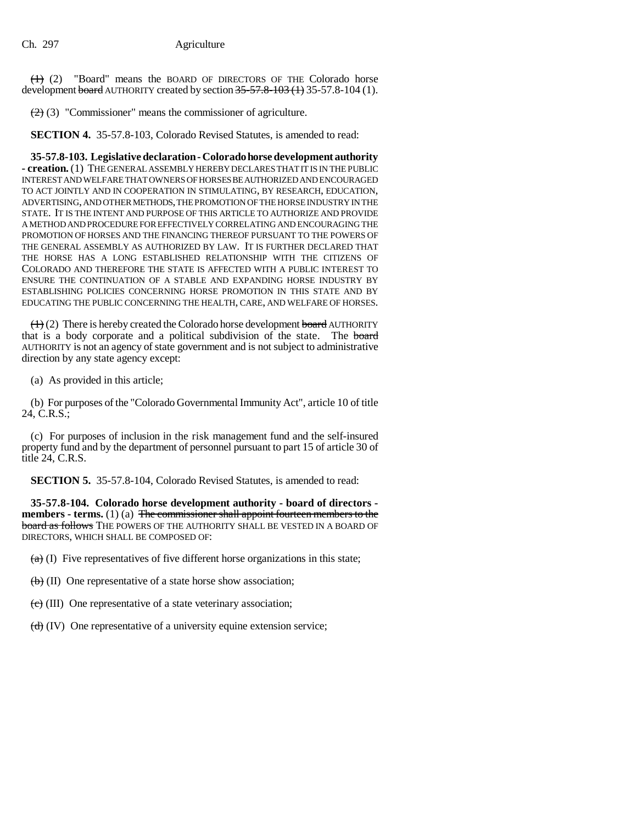$(1)$  (2) "Board" means the BOARD OF DIRECTORS OF THE Colorado horse development board AUTHORITY created by section  $35-57.8-103(1)$  35-57.8-104 (1).

 $(2)$  (3) "Commissioner" means the commissioner of agriculture.

**SECTION 4.** 35-57.8-103, Colorado Revised Statutes, is amended to read:

**35-57.8-103. Legislative declaration - Colorado horse development authority - creation.** (1) THE GENERAL ASSEMBLY HEREBY DECLARES THAT IT IS IN THE PUBLIC INTEREST AND WELFARE THAT OWNERS OF HORSES BE AUTHORIZED AND ENCOURAGED TO ACT JOINTLY AND IN COOPERATION IN STIMULATING, BY RESEARCH, EDUCATION, ADVERTISING, AND OTHER METHODS, THE PROMOTION OF THE HORSE INDUSTRY IN THE STATE. IT IS THE INTENT AND PURPOSE OF THIS ARTICLE TO AUTHORIZE AND PROVIDE A METHOD AND PROCEDURE FOR EFFECTIVELY CORRELATING AND ENCOURAGING THE PROMOTION OF HORSES AND THE FINANCING THEREOF PURSUANT TO THE POWERS OF THE GENERAL ASSEMBLY AS AUTHORIZED BY LAW. IT IS FURTHER DECLARED THAT THE HORSE HAS A LONG ESTABLISHED RELATIONSHIP WITH THE CITIZENS OF COLORADO AND THEREFORE THE STATE IS AFFECTED WITH A PUBLIC INTEREST TO ENSURE THE CONTINUATION OF A STABLE AND EXPANDING HORSE INDUSTRY BY ESTABLISHING POLICIES CONCERNING HORSE PROMOTION IN THIS STATE AND BY EDUCATING THE PUBLIC CONCERNING THE HEALTH, CARE, AND WELFARE OF HORSES.

 $(1)$  (2) There is hereby created the Colorado horse development board AUTHORITY that is a body corporate and a political subdivision of the state. The board AUTHORITY is not an agency of state government and is not subject to administrative direction by any state agency except:

(a) As provided in this article;

(b) For purposes of the "Colorado Governmental Immunity Act", article 10 of title 24, C.R.S.;

(c) For purposes of inclusion in the risk management fund and the self-insured property fund and by the department of personnel pursuant to part 15 of article 30 of title 24, C.R.S.

**SECTION 5.** 35-57.8-104, Colorado Revised Statutes, is amended to read:

**35-57.8-104. Colorado horse development authority - board of directors members - terms.** (1) (a) The commissioner shall appoint fourteen members to the board as follows THE POWERS OF THE AUTHORITY SHALL BE VESTED IN A BOARD OF DIRECTORS, WHICH SHALL BE COMPOSED OF:

 $(a)$  (I) Five representatives of five different horse organizations in this state;

 $\left(\frac{1}{b}\right)$  (II) One representative of a state horse show association;

 $\left(\frac{c}{c}\right)$  (III) One representative of a state veterinary association;

 $(d)$  (IV) One representative of a university equine extension service;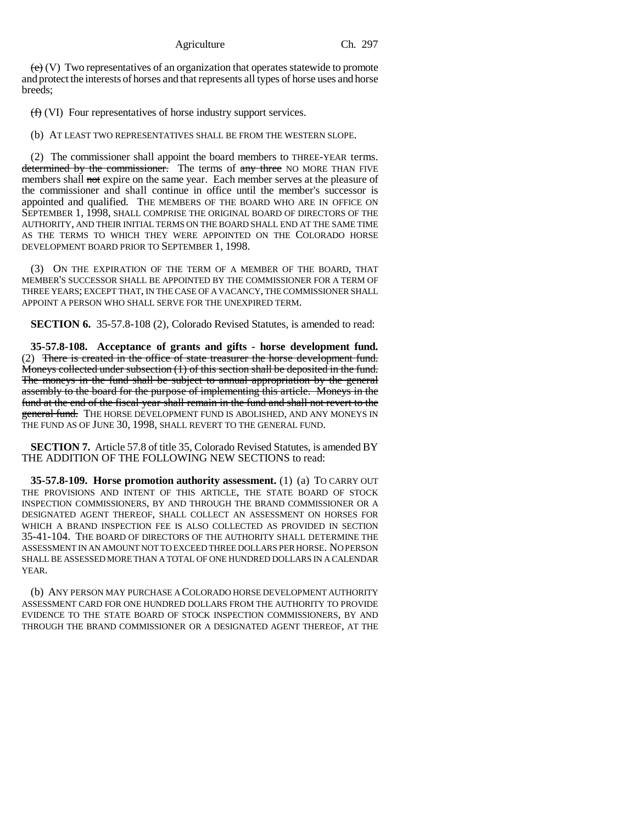$(e)$  (V) Two representatives of an organization that operates statewide to promote and protect the interests of horses and that represents all types of horse uses and horse breeds;

(f) (VI) Four representatives of horse industry support services.

(b) AT LEAST TWO REPRESENTATIVES SHALL BE FROM THE WESTERN SLOPE.

(2) The commissioner shall appoint the board members to THREE-YEAR terms. determined by the commissioner. The terms of any three NO MORE THAN FIVE members shall not expire on the same year. Each member serves at the pleasure of the commissioner and shall continue in office until the member's successor is appointed and qualified. THE MEMBERS OF THE BOARD WHO ARE IN OFFICE ON SEPTEMBER 1, 1998, SHALL COMPRISE THE ORIGINAL BOARD OF DIRECTORS OF THE AUTHORITY, AND THEIR INITIAL TERMS ON THE BOARD SHALL END AT THE SAME TIME AS THE TERMS TO WHICH THEY WERE APPOINTED ON THE COLORADO HORSE DEVELOPMENT BOARD PRIOR TO SEPTEMBER 1, 1998.

(3) ON THE EXPIRATION OF THE TERM OF A MEMBER OF THE BOARD, THAT MEMBER'S SUCCESSOR SHALL BE APPOINTED BY THE COMMISSIONER FOR A TERM OF THREE YEARS; EXCEPT THAT, IN THE CASE OF A VACANCY, THE COMMISSIONER SHALL APPOINT A PERSON WHO SHALL SERVE FOR THE UNEXPIRED TERM.

**SECTION 6.** 35-57.8-108 (2), Colorado Revised Statutes, is amended to read:

**35-57.8-108. Acceptance of grants and gifts - horse development fund.** (2) There is created in the office of state treasurer the horse development fund. Moneys collected under subsection (1) of this section shall be deposited in the fund. The moneys in the fund shall be subject to annual appropriation by the general assembly to the board for the purpose of implementing this article. Moneys in the fund at the end of the fiscal year shall remain in the fund and shall not revert to the general fund. THE HORSE DEVELOPMENT FUND IS ABOLISHED, AND ANY MONEYS IN THE FUND AS OF JUNE 30, 1998, SHALL REVERT TO THE GENERAL FUND.

**SECTION 7.** Article 57.8 of title 35, Colorado Revised Statutes, is amended BY THE ADDITION OF THE FOLLOWING NEW SECTIONS to read:

**35-57.8-109. Horse promotion authority assessment.** (1) (a) TO CARRY OUT THE PROVISIONS AND INTENT OF THIS ARTICLE, THE STATE BOARD OF STOCK INSPECTION COMMISSIONERS, BY AND THROUGH THE BRAND COMMISSIONER OR A DESIGNATED AGENT THEREOF, SHALL COLLECT AN ASSESSMENT ON HORSES FOR WHICH A BRAND INSPECTION FEE IS ALSO COLLECTED AS PROVIDED IN SECTION 35-41-104. THE BOARD OF DIRECTORS OF THE AUTHORITY SHALL DETERMINE THE ASSESSMENT IN AN AMOUNT NOT TO EXCEED THREE DOLLARS PER HORSE. NO PERSON SHALL BE ASSESSED MORE THAN A TOTAL OF ONE HUNDRED DOLLARS IN A CALENDAR YEAR.

(b) ANY PERSON MAY PURCHASE A COLORADO HORSE DEVELOPMENT AUTHORITY ASSESSMENT CARD FOR ONE HUNDRED DOLLARS FROM THE AUTHORITY TO PROVIDE EVIDENCE TO THE STATE BOARD OF STOCK INSPECTION COMMISSIONERS, BY AND THROUGH THE BRAND COMMISSIONER OR A DESIGNATED AGENT THEREOF, AT THE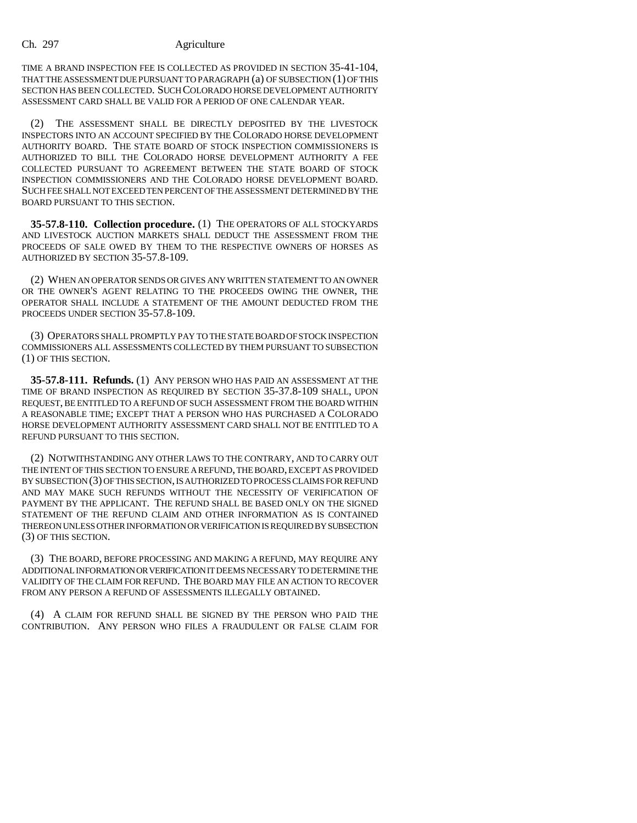## Ch. 297 Agriculture

TIME A BRAND INSPECTION FEE IS COLLECTED AS PROVIDED IN SECTION 35-41-104, THAT THE ASSESSMENT DUE PURSUANT TO PARAGRAPH (a) OF SUBSECTION (1) OF THIS SECTION HAS BEEN COLLECTED. SUCH COLORADO HORSE DEVELOPMENT AUTHORITY ASSESSMENT CARD SHALL BE VALID FOR A PERIOD OF ONE CALENDAR YEAR.

(2) THE ASSESSMENT SHALL BE DIRECTLY DEPOSITED BY THE LIVESTOCK INSPECTORS INTO AN ACCOUNT SPECIFIED BY THE COLORADO HORSE DEVELOPMENT AUTHORITY BOARD. THE STATE BOARD OF STOCK INSPECTION COMMISSIONERS IS AUTHORIZED TO BILL THE COLORADO HORSE DEVELOPMENT AUTHORITY A FEE COLLECTED PURSUANT TO AGREEMENT BETWEEN THE STATE BOARD OF STOCK INSPECTION COMMISSIONERS AND THE COLORADO HORSE DEVELOPMENT BOARD. SUCH FEE SHALL NOT EXCEED TEN PERCENT OF THE ASSESSMENT DETERMINED BY THE BOARD PURSUANT TO THIS SECTION.

**35-57.8-110. Collection procedure.** (1) THE OPERATORS OF ALL STOCKYARDS AND LIVESTOCK AUCTION MARKETS SHALL DEDUCT THE ASSESSMENT FROM THE PROCEEDS OF SALE OWED BY THEM TO THE RESPECTIVE OWNERS OF HORSES AS AUTHORIZED BY SECTION 35-57.8-109.

(2) WHEN AN OPERATOR SENDS OR GIVES ANY WRITTEN STATEMENT TO AN OWNER OR THE OWNER'S AGENT RELATING TO THE PROCEEDS OWING THE OWNER, THE OPERATOR SHALL INCLUDE A STATEMENT OF THE AMOUNT DEDUCTED FROM THE PROCEEDS UNDER SECTION 35-57.8-109.

(3) OPERATORS SHALL PROMPTLY PAY TO THE STATE BOARD OF STOCK INSPECTION COMMISSIONERS ALL ASSESSMENTS COLLECTED BY THEM PURSUANT TO SUBSECTION (1) OF THIS SECTION.

**35-57.8-111. Refunds.** (1) ANY PERSON WHO HAS PAID AN ASSESSMENT AT THE TIME OF BRAND INSPECTION AS REQUIRED BY SECTION 35-37.8-109 SHALL, UPON REQUEST, BE ENTITLED TO A REFUND OF SUCH ASSESSMENT FROM THE BOARD WITHIN A REASONABLE TIME; EXCEPT THAT A PERSON WHO HAS PURCHASED A COLORADO HORSE DEVELOPMENT AUTHORITY ASSESSMENT CARD SHALL NOT BE ENTITLED TO A REFUND PURSUANT TO THIS SECTION.

(2) NOTWITHSTANDING ANY OTHER LAWS TO THE CONTRARY, AND TO CARRY OUT THE INTENT OF THIS SECTION TO ENSURE A REFUND, THE BOARD, EXCEPT AS PROVIDED BY SUBSECTION (3) OF THIS SECTION, IS AUTHORIZED TO PROCESS CLAIMS FOR REFUND AND MAY MAKE SUCH REFUNDS WITHOUT THE NECESSITY OF VERIFICATION OF PAYMENT BY THE APPLICANT. THE REFUND SHALL BE BASED ONLY ON THE SIGNED STATEMENT OF THE REFUND CLAIM AND OTHER INFORMATION AS IS CONTAINED THEREON UNLESS OTHER INFORMATION OR VERIFICATION IS REQUIRED BY SUBSECTION (3) OF THIS SECTION.

(3) THE BOARD, BEFORE PROCESSING AND MAKING A REFUND, MAY REQUIRE ANY ADDITIONAL INFORMATION OR VERIFICATION IT DEEMS NECESSARY TO DETERMINE THE VALIDITY OF THE CLAIM FOR REFUND. THE BOARD MAY FILE AN ACTION TO RECOVER FROM ANY PERSON A REFUND OF ASSESSMENTS ILLEGALLY OBTAINED.

(4) A CLAIM FOR REFUND SHALL BE SIGNED BY THE PERSON WHO PAID THE CONTRIBUTION. ANY PERSON WHO FILES A FRAUDULENT OR FALSE CLAIM FOR